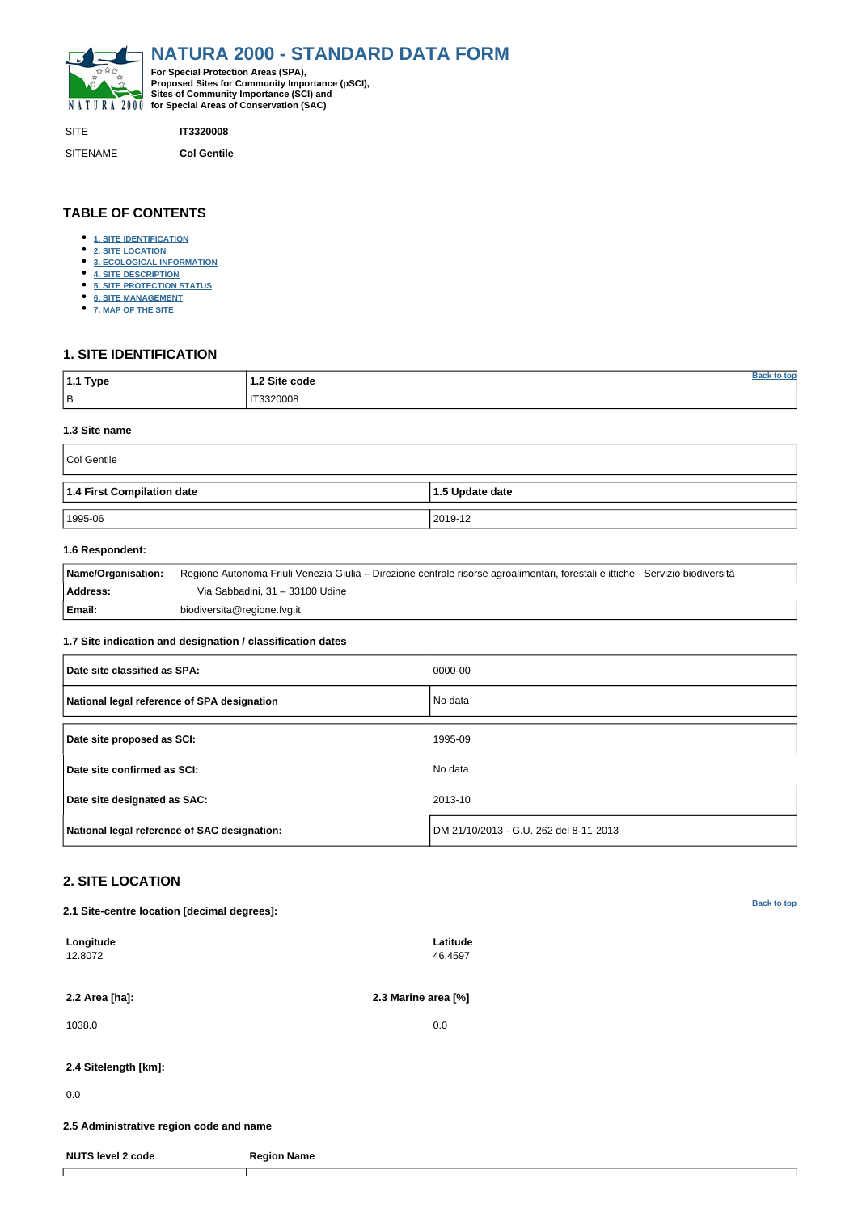<span id="page-0-0"></span>

| <b>SITE</b>     | <b>IT3320008</b>   |
|-----------------|--------------------|
| <b>SITENAME</b> | <b>Col Gentile</b> |

| <sup>∣</sup> 1.1 Type | 2 Site code        |  |
|-----------------------|--------------------|--|
| ΙB                    | IT3320008<br>_____ |  |

## **TABLE OF CONTENTS**

- **[1. SITE IDENTIFICATION](#page-0-1)**
- **[2. SITE LOCATION](#page-0-2)**
- **[3. ECOLOGICAL INFORMATION](#page-1-0)**
- **[4. SITE DESCRIPTION](#page-2-0)**
- **[5. SITE PROTECTION STATUS](#page-3-0)**
- **[6. SITE MANAGEMENT](#page-3-1)**
- **[7. MAP OF THE SITE](#page-4-0)**

## <span id="page-0-1"></span>**1. SITE IDENTIFICATION**

### **1.3 Site name**

| Col Gentile                |                   |
|----------------------------|-------------------|
| 1.4 First Compilation date | $1.5$ Update date |
| 1995-06                    | 2019-12           |

### **1.6 Respondent:**

| <b>Name/Organisation:</b> | Regione Autonoma Friuli Venezia Giulia – Direzione centrale risorse agroalimentari, forestali e ittiche - Servizio biodiversità |
|---------------------------|---------------------------------------------------------------------------------------------------------------------------------|
| <b>Address:</b>           | Via Sabbadini, 31 – 33100 Udine                                                                                                 |
| Email:                    | biodiversita@regione.fvg.it                                                                                                     |

### **1.7 Site indication and designation / classification dates**

| Date site classified as SPA:                 | 0000-00                                |
|----------------------------------------------|----------------------------------------|
| National legal reference of SPA designation  | No data                                |
| Date site proposed as SCI:                   | 1995-09                                |
| Date site confirmed as SCI:                  | No data                                |
| Date site designated as SAC:                 | 2013-10                                |
| National legal reference of SAC designation: | DM 21/10/2013 - G.U. 262 del 8-11-2013 |

# <span id="page-0-2"></span>**2. SITE LOCATION**

**2.1 Site-centre location [decimal degrees]:**

| Longitude<br>12.8072                    |                    | Latitude<br>46.4597 |  |
|-----------------------------------------|--------------------|---------------------|--|
| 2.2 Area [ha]:                          |                    | 2.3 Marine area [%] |  |
| 1038.0                                  |                    | 0.0                 |  |
| 2.4 Sitelength [km]:                    |                    |                     |  |
| 0.0                                     |                    |                     |  |
| 2.5 Administrative region code and name |                    |                     |  |
| <b>NUTS level 2 code</b>                | <b>Region Name</b> |                     |  |
|                                         |                    |                     |  |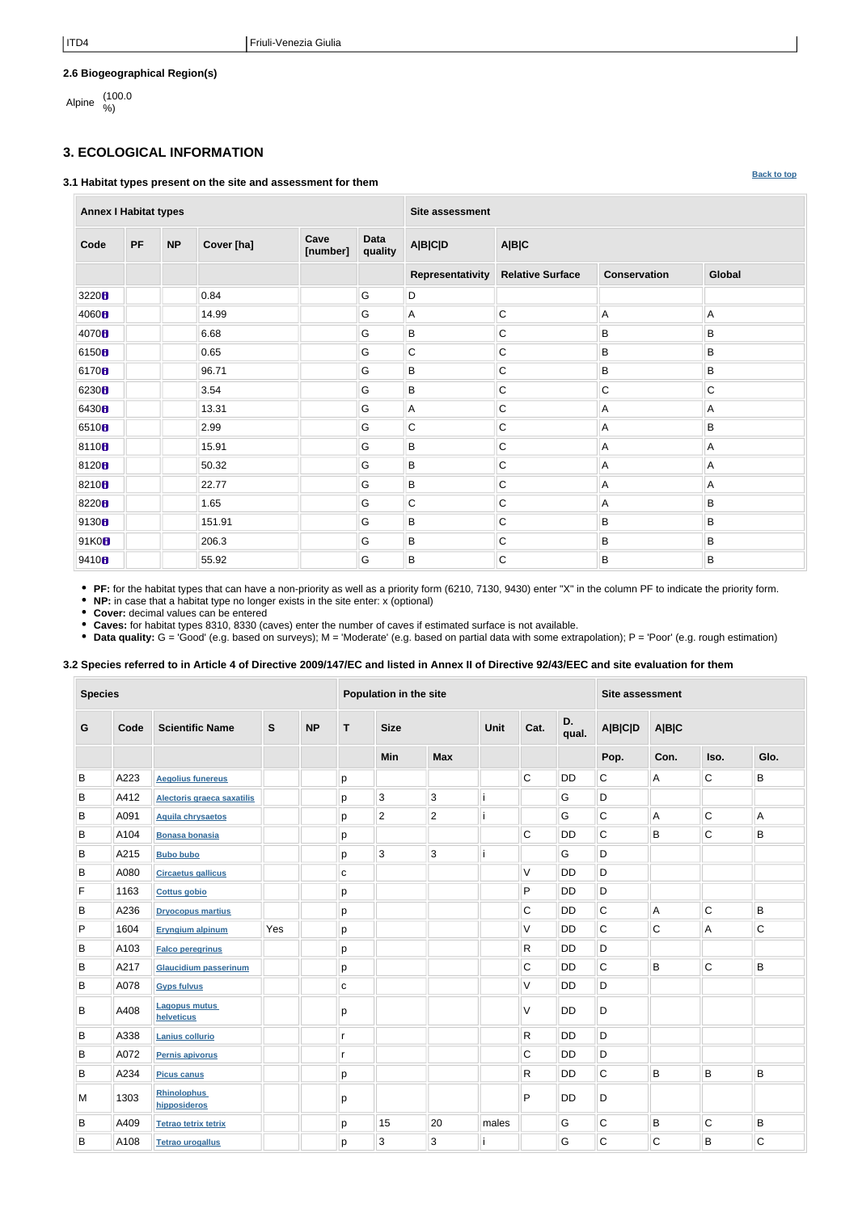**[Back to top](#page-0-0)**

## **2.6 Biogeographical Region(s)**

Alpine (100.0

# <span id="page-1-0"></span>**3. ECOLOGICAL INFORMATION**

### **3.1 Habitat types present on the site and assessment for them**

**Annex I Habitat types Site assessment Code PF NP Cover [ha] Cave [number] Data quality A|B|C|D A|B|C Representativity Relative Surface Conservation Global**  $\parallel$   $\parallel$   $\parallel$  0.84  $\parallel$   $\parallel$  G  $\parallel$  D 14.99 G A C A A 6.68 G B C B B 0.65 G C C B B 96.71 G B C B B 6230 8 G B C C C C C 13.31 G A C A A 2.99 G C C A B **8110 15.91 G** B C A A A 50.32 G B C A A 22.77 G B C A A 1.65 G C C A B 151.91 G B C B B 91K0 206.3 G B C B B 55.92 G B C B B

**PF:** for the habitat types that can have a non-priority as well as a priority form (6210, 7130, 9430) enter "X" in the column PF to indicate the priority form.

**NP:** in case that a habitat type no longer exists in the site enter: x (optional)

**Cover:** decimal values can be entered

**Caves:** for habitat types 8310, 8330 (caves) enter the number of caves if estimated surface is not available.

**Data quality:** G = 'Good' (e.g. based on surveys); M = 'Moderate' (e.g. based on partial data with some extrapolation); P = 'Poor' (e.g. rough estimation)

## **3.2 Species referred to in Article 4 of Directive 2009/147/EC and listed in Annex II of Directive 92/43/EEC and site evaluation for them**

| <b>Species</b> |      |                                    | Population in the site |           |              |                |                | Site assessment |              |             |                |             |              |             |
|----------------|------|------------------------------------|------------------------|-----------|--------------|----------------|----------------|-----------------|--------------|-------------|----------------|-------------|--------------|-------------|
| G              | Code | <b>Scientific Name</b>             | ${\mathsf S}$          | <b>NP</b> | T            | <b>Size</b>    |                | Unit            | Cat.         | D.<br>qual. | <b>A B C D</b> | A B C       |              |             |
|                |      |                                    |                        |           |              | Min            | <b>Max</b>     |                 |              |             | Pop.           | Con.        | Iso.         | Glo.        |
| B              | A223 | <b>Aegolius funereus</b>           |                        |           | $\mathsf{p}$ |                |                |                 | C.           | <b>DD</b>   | $\mathsf{C}$   | A           | $\mathsf C$  | B           |
| B              | A412 | Alectoris graeca saxatilis         |                        |           | p            | 3              | 3              |                 |              | G           | D              |             |              |             |
| B              | A091 | <b>Aquila chrysaetos</b>           |                        |           | p            | $\overline{2}$ | $\overline{2}$ |                 |              | G           | $\mathsf C$    | A           | $\mathsf C$  | Α           |
| B              | A104 | <b>Bonasa bonasia</b>              |                        |           | p            |                |                |                 | $\mathsf C$  | <b>DD</b>   | $\mathsf{C}$   | B           | $\mathsf{C}$ | B           |
| B              | A215 | <b>Bubo bubo</b>                   |                        |           | p            | 3              | 3              |                 |              | G           | D              |             |              |             |
| B              | A080 | <b>Circaetus gallicus</b>          |                        |           | C            |                |                |                 | V            | <b>DD</b>   | D              |             |              |             |
| F              | 1163 | <b>Cottus gobio</b>                |                        |           | p            |                |                |                 | P            | <b>DD</b>   | D              |             |              |             |
| B              | A236 | <b>Dryocopus martius</b>           |                        |           | p            |                |                |                 | $\mathsf C$  | <b>DD</b>   | $\mathsf C$    | A           | $\mathsf{C}$ | B           |
| P              | 1604 | <b>Eryngium alpinum</b>            | Yes                    |           | p            |                |                |                 | V            | <b>DD</b>   | $\mathsf{C}$   | $\mathsf C$ | $\mathsf A$  | C           |
| B              | A103 | <b>Falco peregrinus</b>            |                        |           | p            |                |                |                 | ${\sf R}$    | <b>DD</b>   | D              |             |              |             |
| B              | A217 | <b>Glaucidium passerinum</b>       |                        |           | p            |                |                |                 | $\mathsf C$  | <b>DD</b>   | $\mathsf{C}$   | B           | $\mathsf C$  | B           |
| B              | A078 | <b>Gyps fulvus</b>                 |                        |           | C            |                |                |                 | V            | <b>DD</b>   | D              |             |              |             |
| B              | A408 | <b>Lagopus mutus</b><br>helveticus |                        |           | p            |                |                |                 | V            | <b>DD</b>   | D              |             |              |             |
| B              | A338 | Lanius collurio                    |                        |           | $\mathsf{r}$ |                |                |                 | $\mathsf{R}$ | <b>DD</b>   | D              |             |              |             |
| B              | A072 | Pernis apivorus                    |                        |           | $\mathsf{r}$ |                |                |                 | $\mathsf C$  | <b>DD</b>   | D              |             |              |             |
| B              | A234 | <b>Picus canus</b>                 |                        |           | $\mathsf{p}$ |                |                |                 | $\mathsf{R}$ | <b>DD</b>   | $\mathsf C$    | B           | $\sf B$      | $\sf B$     |
| M              | 1303 | <b>Rhinolophus</b><br>hipposideros |                        |           | р            |                |                |                 | P            | DD          | D              |             |              |             |
| B              | A409 | <b>Tetrao tetrix tetrix</b>        |                        |           | p            | 15             | 20             | males           |              | G           | $\mathsf C$    | B           | $\mathsf C$  | B           |
| B              | A108 | <b>Tetrao urogallus</b>            |                        |           | p            | 3              | 3              |                 |              | G           | $\mathsf C$    | $\mathsf C$ | $\sf B$      | $\mathsf C$ |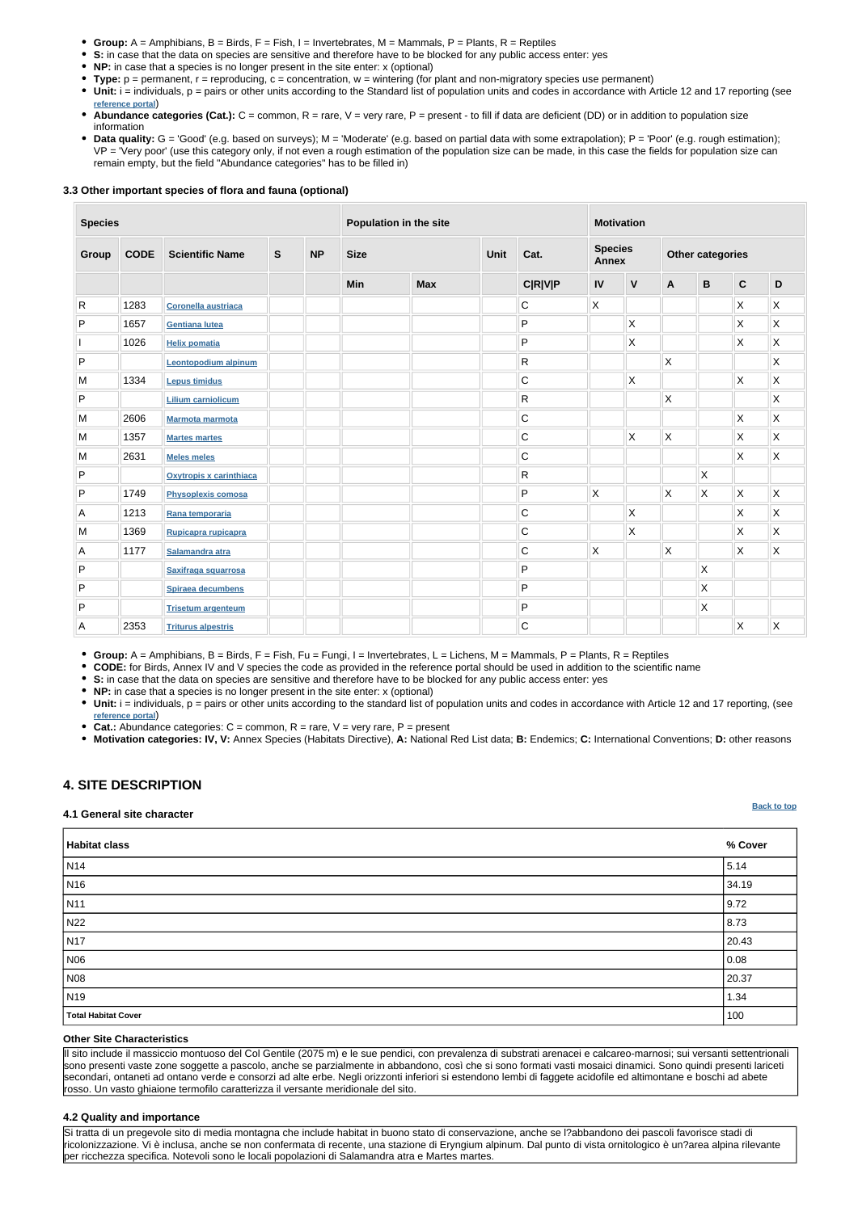|--|

- **Group:** A = Amphibians, B = Birds, F = Fish, I = Invertebrates, M = Mammals, P = Plants, R = Reptiles
- **S:** in case that the data on species are sensitive and therefore have to be blocked for any public access enter: yes
- **NP:** in case that a species is no longer present in the site enter: x (optional)
- **Type:** p = permanent, r = reproducing, c = concentration, w = wintering (for plant and non-migratory species use permanent)
- Unit: i = individuals, p = pairs or other units according to the Standard list of population units and codes in accordance with Article 12 and 17 reporting (see **[reference portal](http://bd.eionet.europa.eu/activities/Natura_2000/reference_portal)**)
- Abundance categories (Cat.): C = common, R = rare, V = very rare, P = present to fill if data are deficient (DD) or in addition to population size information
- Data quality: G = 'Good' (e.g. based on surveys); M = 'Moderate' (e.g. based on partial data with some extrapolation); P = 'Poor' (e.g. rough estimation); VP = 'Very poor' (use this category only, if not even a rough estimation of the population size can be made, in this case the fields for population size can remain empty, but the field "Abundance categories" has to be filled in)

#### **3.3 Other important species of flora and fauna (optional)**

• Unit: i = individuals, p = pairs or other units according to the standard list of population units and codes in accordance with Article 12 and 17 reporting, (see **[reference portal](http://bd.eionet.europa.eu/activities/Natura_2000/reference_portal)**)

| <b>Species</b><br>Population in the site |             |                             |              |           | <b>Motivation</b> |            |             |                |                         |                |              |                         |                         |              |
|------------------------------------------|-------------|-----------------------------|--------------|-----------|-------------------|------------|-------------|----------------|-------------------------|----------------|--------------|-------------------------|-------------------------|--------------|
| Group                                    | <b>CODE</b> | <b>Scientific Name</b>      | $\mathbf{s}$ | <b>NP</b> | <b>Size</b>       |            | <b>Unit</b> | Cat.           | <b>Species</b><br>Annex |                |              | <b>Other categories</b> |                         |              |
|                                          |             |                             |              |           | Min               | <b>Max</b> |             | <b>C R V P</b> | IV                      | $\mathbf V$    | A            | $\mathbf B$             | $\mathbf{C}$            | D            |
| ${\sf R}$                                | 1283        | <b>Coronella austriaca</b>  |              |           |                   |            |             | $\mathbf C$    | $\mathsf{X}$            |                |              |                         | $\mathsf{X}$            | X            |
| P                                        | 1657        | <b>Gentiana lutea</b>       |              |           |                   |            |             | P              |                         | X              |              |                         | $\mathsf{\chi}$         | X            |
|                                          | 1026        | <b>Helix pomatia</b>        |              |           |                   |            |             | $\sf P$        |                         | $\pmb{\times}$ |              |                         | $\mathsf{\overline{X}}$ | $\mathsf{X}$ |
| P                                        |             | <b>Leontopodium alpinum</b> |              |           |                   |            |             | $\overline{R}$ |                         |                | $\mathsf X$  |                         |                         | X            |
| M                                        | 1334        | <b>Lepus timidus</b>        |              |           |                   |            |             | $\mathsf C$    |                         | $\mathsf{X}$   |              |                         | X                       | X            |
| P                                        |             | <b>Lilium carniolicum</b>   |              |           |                   |            |             | $\mathsf{R}$   |                         |                | $\sf X$      |                         |                         | X            |
| M                                        | 2606        | <b>Marmota marmota</b>      |              |           |                   |            |             | $\mathsf C$    |                         |                |              |                         | X                       | X            |
| M                                        | 1357        | <b>Martes martes</b>        |              |           |                   |            |             | $\mathsf C$    |                         | $\mathsf{X}$   | X            |                         | $\mathsf{X}$            | $\mathsf{X}$ |
| M                                        | 2631        | <b>Meles meles</b>          |              |           |                   |            |             | $\mathsf C$    |                         |                |              |                         | $\mathsf{\overline{X}}$ | X            |
| P                                        |             | Oxytropis x carinthiaca     |              |           |                   |            |             | $\mathsf{R}$   |                         |                |              | Χ                       |                         |              |
| P                                        | 1749        | <b>Physoplexis comosa</b>   |              |           |                   |            |             | $\sf P$        | $\mathsf{X}$            |                | $\mathsf{X}$ | X                       | $\mathsf{X}$            | $\mathsf{X}$ |
| A                                        | 1213        | Rana temporaria             |              |           |                   |            |             | $\mathsf C$    |                         | $\mathsf{X}$   |              |                         | $\mathsf{\overline{X}}$ | $\mathsf{X}$ |
| M                                        | 1369        | Rupicapra rupicapra         |              |           |                   |            |             | $\mathsf C$    |                         | $\pmb{\times}$ |              |                         | $\mathsf{\overline{X}}$ | X            |
| Α                                        | 1177        | Salamandra atra             |              |           |                   |            |             | $\mathsf C$    | $\mathsf{X}$            |                | $\mathsf X$  |                         | $\mathsf{\overline{X}}$ | X            |
| P                                        |             | Saxifraga squarrosa         |              |           |                   |            |             | P              |                         |                |              | X                       |                         |              |
| P                                        |             | Spiraea decumbens           |              |           |                   |            |             | ${\sf P}$      |                         |                |              | Χ                       |                         |              |
| P                                        |             | <b>Trisetum argenteum</b>   |              |           |                   |            |             | $\sf P$        |                         |                |              | Χ                       |                         |              |
| A                                        | 2353        | <b>Triturus alpestris</b>   |              |           |                   |            |             | $\mathsf C$    |                         |                |              |                         | $\mathsf{\overline{X}}$ | $\mathsf{X}$ |

**Group:** A = Amphibians, B = Birds, F = Fish, Fu = Fungi, I = Invertebrates, L = Lichens, M = Mammals, P = Plants, R = Reptiles

**CODE:** for Birds, Annex IV and V species the code as provided in the reference portal should be used in addition to the scientific name

**S:** in case that the data on species are sensitive and therefore have to be blocked for any public access enter: yes

**NP:** in case that a species is no longer present in the site enter: x (optional)

**Cat.:** Abundance categories: C = common, R = rare, V = very rare, P = present

**Motivation categories: IV, V:** Annex Species (Habitats Directive), **A:** National Red List data; **B:** Endemics; **C:** International Conventions; **D:** other reasons

## <span id="page-2-0"></span>**4. SITE DESCRIPTION**

#### **4.1 General site character**

| Habitat class              | % Cover |
|----------------------------|---------|
| N <sub>14</sub>            | 5.14    |
| N <sub>16</sub>            | 34.19   |
| N11                        | 9.72    |
| N22                        | 8.73    |
| N <sub>17</sub>            | 20.43   |
| N06                        | 0.08    |
| <b>N08</b>                 | 20.37   |
| N <sub>19</sub>            | 1.34    |
| <b>Total Habitat Cover</b> | 100     |

#### **Other Site Characteristics**

Il sito include il massiccio montuoso del Col Gentile (2075 m) e le sue pendici, con prevalenza di substrati arenacei e calcareo-marnosi; sui versanti settentrionali sono presenti vaste zone soggette a pascolo, anche se parzialmente in abbandono, così che si sono formati vasti mosaici dinamici. Sono quindi presenti lariceti secondari, ontaneti ad ontano verde e consorzi ad alte erbe. Negli orizzonti inferiori si estendono lembi di faggete acidofile ed altimontane e boschi ad abete rosso. Un vasto ghiaione termofilo caratterizza il versante meridionale del sito.

### **4.2 Quality and importance**

Si tratta di un pregevole sito di media montagna che include habitat in buono stato di conservazione, anche se l?abbandono dei pascoli favorisce stadi di ricolonizzazione. Vi è inclusa, anche se non confermata di recente, una stazione di Eryngium alpinum. Dal punto di vista ornitologico è un?area alpina rilevante per ricchezza specifica. Notevoli sono le locali popolazioni di Salamandra atra e Martes martes.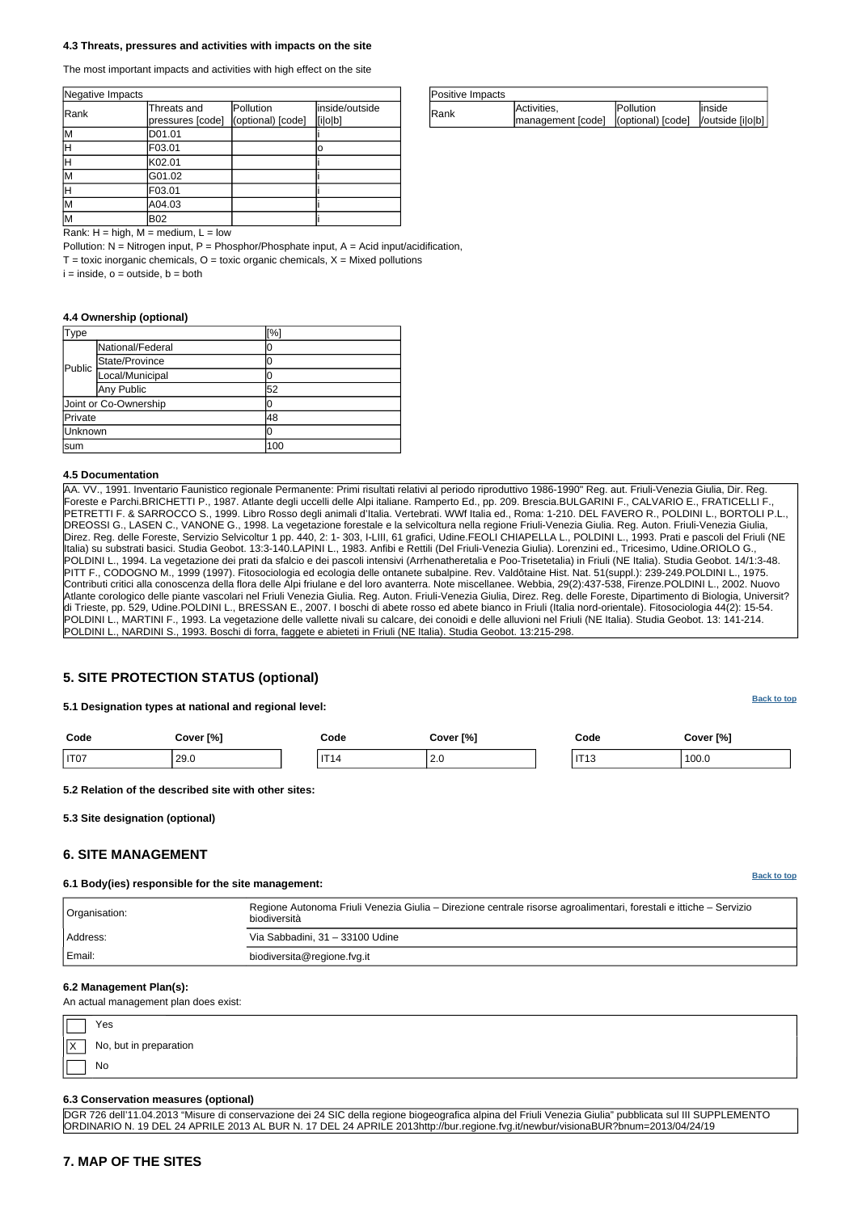**[Back to top](#page-0-0)**

**[Back to top](#page-0-0)**

| Type    |                       | [%] |
|---------|-----------------------|-----|
|         | National/Federal      | U   |
| Public  | State/Province        | O   |
|         | Local/Municipal       | l   |
|         | Any Public            | 52  |
|         | Joint or Co-Ownership | 10  |
| Private | 48                    |     |
| Unknown |                       | IO  |
| lsum    |                       | 100 |

| Positive Impacts |                                                                          |                   |         |
|------------------|--------------------------------------------------------------------------|-------------------|---------|
| <b>IRank</b>     | Activities,<br> management [code]   (optional) [code]   /outside [i o b] | <b>IPollution</b> | linside |

| Negative Impacts |                                 |                                |                           |
|------------------|---------------------------------|--------------------------------|---------------------------|
| Rank             | Threats and<br>pressures [code] | Pollution<br>(optional) [code] | inside/outside<br>[i o b] |
| lМ               | D01.01                          |                                |                           |
|                  | F03.01                          |                                | ΙO                        |
|                  | K02.01                          |                                |                           |
| lΜ               | G01.02                          |                                |                           |
|                  | F03.01                          |                                |                           |
| lм               | A04.03                          |                                |                           |
| lМ               | B02                             |                                |                           |

Rank:  $H = h$ igh,  $M = \text{medium}$ ,  $L = \text{low}$ 

Pollution:  $N =$  Nitrogen input, P = Phosphor/Phosphate input, A = Acid input/acidification,

 $T =$  toxic inorganic chemicals,  $O =$  toxic organic chemicals,  $X =$  Mixed pollutions

 $i = inside, o = outside, b = both$ 

#### **4.3 Threats, pressures and activities with impacts on the site**

The most important impacts and activities with high effect on the site

#### **4.4 Ownership (optional)**

#### **4.5 Documentation**

|            | Yes                    |
|------------|------------------------|
| $\sqrt{X}$ | No, but in preparation |
|            | No                     |

AA. VV., 1991. Inventario Faunistico regionale Permanente: Primi risultati relativi al periodo riproduttivo 1986-1990" Reg. aut. Friuli-Venezia Giulia, Dir. Reg. Foreste e Parchi.BRICHETTI P., 1987. Atlante degli uccelli delle Alpi italiane. Ramperto Ed., pp. 209. Brescia.BULGARINI F., CALVARIO E., FRATICELLI F., PETRETTI F. & SARROCCO S., 1999. Libro Rosso degli animali d'Italia. Vertebrati. WWf Italia ed., Roma: 1-210. DEL FAVERO R., POLDINI L., BORTOLI P.L., DREOSSI G., LASEN C., VANONE G., 1998. La vegetazione forestale e la selvicoltura nella regione Friuli-Venezia Giulia. Reg. Auton. Friuli-Venezia Giulia, Direz. Reg. delle Foreste, Servizio Selvicoltur 1 pp. 440, 2: 1- 303, I-LIII, 61 grafici, Udine.FEOLI CHIAPELLA L., POLDINI L., 1993. Prati e pascoli del Friuli (NE Italia) su substrati basici. Studia Geobot. 13:3-140.LAPINI L., 1983. Anfibi e Rettili (Del Friuli-Venezia Giulia). Lorenzini ed., Tricesimo, Udine.ORIOLO G., POLDINI L., 1994. La vegetazione dei prati da sfalcio e dei pascoli intensivi (Arrhenatheretalia e Poo-Trisetetalia) in Friuli (NE Italia). Studia Geobot. 14/1:3-48. PITT F., CODOGNO M., 1999 (1997). Fitosociologia ed ecologia delle ontanete subalpine. Rev. Valdôtaine Hist. Nat. 51(suppl.): 239-249.POLDINI L., 1975. Contributi critici alla conoscenza della flora delle Alpi friulane e del loro avanterra. Note miscellanee. Webbia, 29(2):437-538, Firenze.POLDINI L., 2002. Nuovo Atlante corologico delle piante vascolari nel Friuli Venezia Giulia. Reg. Auton. Friuli-Venezia Giulia, Direz. Reg. delle Foreste, Dipartimento di Biologia, Universit? di Trieste, pp. 529, Udine.POLDINI L., BRESSAN E., 2007. I boschi di abete rosso ed abete bianco in Friuli (Italia nord-orientale). Fitosociologia 44(2): 15-54. POLDINI L., MARTINI F., 1993. La vegetazione delle vallette nivali su calcare, dei conoidi e delle alluvioni nel Friuli (NE Italia). Studia Geobot. 13: 141-214. POLDINI L., NARDINI S., 1993. Boschi di forra, faggete e abieteti in Friuli (NE Italia). Studia Geobot. 13:215-298.

## <span id="page-3-0"></span>**5. SITE PROTECTION STATUS (optional)**

#### **5.1 Designation types at national and regional level:**

| Code             | Cover [%] | Code | Cover [%]                        | Code                       | Cover [%] |
|------------------|-----------|------|----------------------------------|----------------------------|-----------|
| IT <sub>07</sub> | 29.0      | IT.  | $\overline{\phantom{a}}$<br>ں کی | $\mathbf{L}$<br>- 11<br>ାଏ | 100.0     |

**5.2 Relation of the described site with other sites:**

<span id="page-3-1"></span>**5.3 Site designation (optional)**

## **6. SITE MANAGEMENT**

**6.1 Body(ies) responsible for the site management:**

| Orașpieștion: |  |  |  |
|---------------|--|--|--|
|               |  |  |  |

Regione Autonoma Friuli Venezia Giulia – Direzione centrale risorse agroalimentari, forestali e ittiche – Servizio

| ⊺ Urgamoanom. | biodiversità                    |  |
|---------------|---------------------------------|--|
| Address:      | Via Sabbadini, 31 - 33100 Udine |  |
| Email:        | biodiversita@regione.fvg.it     |  |

#### **6.2 Management Plan(s):**

An actual management plan does exist:

#### **6.3 Conservation measures (optional)**

DGR 726 dell'11.04.2013 "Misure di conservazione dei 24 SIC della regione biogeografica alpina del Friuli Venezia Giulia" pubblicata sul III SUPPLEMENTO ORDINARIO N. 19 DEL 24 APRILE 2013 AL BUR N. 17 DEL 24 APRILE 2013http://bur.regione.fvg.it/newbur/visionaBUR?bnum=2013/04/24/19

## **7. MAP OF THE SITES**